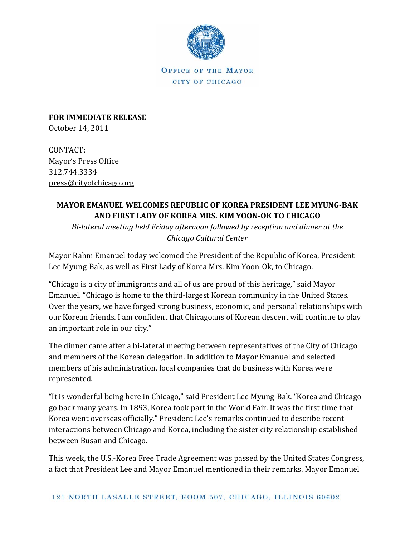

**OFFICE OF THE MAYOR** CITY OF CHICAGO

**FOR IMMEDIATE RELEASE** October 14, 2011 

CONTACT: Mayor's Press Office 312.744.3334 press@cityofchicago.org 

## **MAYOR EMANUEL WELCOMES REPUBLIC OF KOREA PRESIDENT LEE MYUNG‐BAK AND FIRST LADY OF KOREA MRS. KIM YOON‐OK TO CHICAGO**

*Bi‐lateral meeting held Friday afternoon followed by reception and dinner at the Chicago Cultural Center*

Mayor Rahm Emanuel today welcomed the President of the Republic of Korea, President Lee Myung-Bak, as well as First Lady of Korea Mrs. Kim Yoon-Ok, to Chicago.

"Chicago is a city of immigrants and all of us are proud of this heritage," said Mayor Emanuel. "Chicago is home to the third-largest Korean community in the United States. Over the years, we have forged strong business, economic, and personal relationships with our Korean friends. I am confident that Chicagoans of Korean descent will continue to play an important role in our city."

The dinner came after a bi-lateral meeting between representatives of the City of Chicago and members of the Korean delegation. In addition to Mayor Emanuel and selected members of his administration, local companies that do business with Korea were represented.

"It is wonderful being here in Chicago," said President Lee Myung-Bak. "Korea and Chicago go back many years. In 1893, Korea took part in the World Fair. It was the first time that Korea went overseas officially." President Lee's remarks continued to describe recent interactions between Chicago and Korea, including the sister city relationship established between Busan and Chicago.

This week, the U.S.-Korea Free Trade Agreement was passed by the United States Congress, a fact that President Lee and Mayor Emanuel mentioned in their remarks. Mayor Emanuel